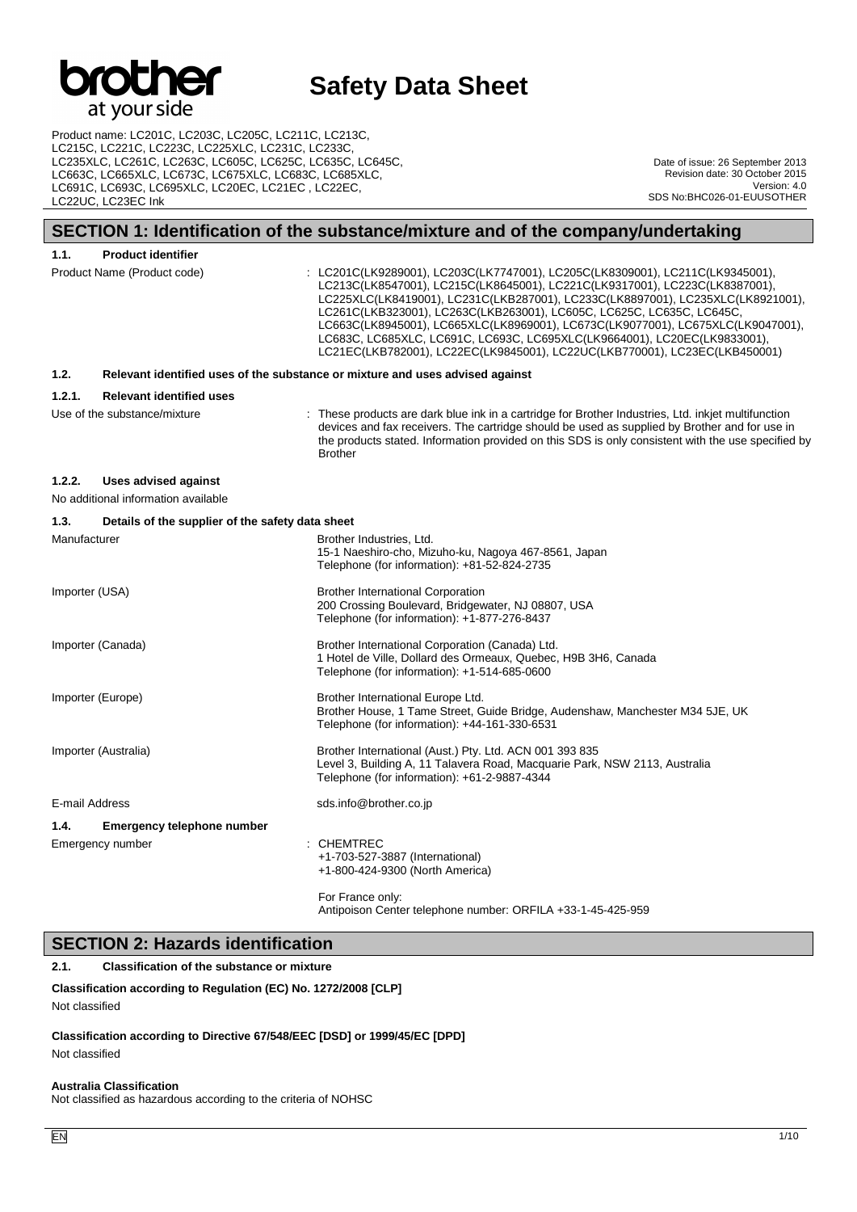

Product name: LC201C, LC203C, LC205C, LC211C, LC213C, LC215C, LC221C, LC223C, LC225XLC, LC231C, LC233C, LC235XLC, LC261C, LC263C, LC605C, LC625C, LC635C, LC645C, LC663C, LC665XLC, LC673C, LC675XLC, LC683C, LC685XLC, LC691C, LC693C, LC695XLC, LC20EC, LC21EC , LC22EC, LC22UC, LC23EC Ink

Date of issue: 26 September 2013 Revision date: 30 October 2015 Version: 4.0 SDS No:BHC026-01-EUUSOTHER

## **SECTION 1: Identification of the substance/mixture and of the company/undertaking**

| 1.1.           | <b>Product identifier</b>                                   |                                                                                                                                                                                                                                                                                                                                                                                                                                                                                                                                                                        |
|----------------|-------------------------------------------------------------|------------------------------------------------------------------------------------------------------------------------------------------------------------------------------------------------------------------------------------------------------------------------------------------------------------------------------------------------------------------------------------------------------------------------------------------------------------------------------------------------------------------------------------------------------------------------|
|                | Product Name (Product code)                                 | : LC201C(LK9289001), LC203C(LK7747001), LC205C(LK8309001), LC211C(LK9345001),<br>LC213C(LK8547001), LC215C(LK8645001), LC221C(LK9317001), LC223C(LK8387001),<br>LC225XLC(LK8419001), LC231C(LKB287001), LC233C(LK8897001), LC235XLC(LK8921001),<br>LC261C(LKB323001), LC263C(LKB263001), LC605C, LC625C, LC635C, LC645C,<br>LC663C(LK8945001), LC665XLC(LK8969001), LC673C(LK9077001), LC675XLC(LK9047001),<br>LC683C, LC685XLC, LC691C, LC693C, LC695XLC(LK9664001), LC20EC(LK9833001),<br>LC21EC(LKB782001), LC22EC(LK9845001), LC22UC(LKB770001), LC23EC(LKB450001) |
| 1.2.           |                                                             | Relevant identified uses of the substance or mixture and uses advised against                                                                                                                                                                                                                                                                                                                                                                                                                                                                                          |
| 1.2.1.         | <b>Relevant identified uses</b>                             |                                                                                                                                                                                                                                                                                                                                                                                                                                                                                                                                                                        |
|                | Use of the substance/mixture                                | : These products are dark blue ink in a cartridge for Brother Industries, Ltd. inkjet multifunction<br>devices and fax receivers. The cartridge should be used as supplied by Brother and for use in<br>the products stated. Information provided on this SDS is only consistent with the use specified by<br><b>Brother</b>                                                                                                                                                                                                                                           |
| 1.2.2.         | Uses advised against<br>No additional information available |                                                                                                                                                                                                                                                                                                                                                                                                                                                                                                                                                                        |
| 1.3.           | Details of the supplier of the safety data sheet            |                                                                                                                                                                                                                                                                                                                                                                                                                                                                                                                                                                        |
| Manufacturer   |                                                             | Brother Industries, Ltd.<br>15-1 Naeshiro-cho, Mizuho-ku, Nagoya 467-8561, Japan<br>Telephone (for information): +81-52-824-2735                                                                                                                                                                                                                                                                                                                                                                                                                                       |
| Importer (USA) |                                                             | <b>Brother International Corporation</b><br>200 Crossing Boulevard, Bridgewater, NJ 08807, USA<br>Telephone (for information): +1-877-276-8437                                                                                                                                                                                                                                                                                                                                                                                                                         |
|                | Importer (Canada)                                           | Brother International Corporation (Canada) Ltd.<br>1 Hotel de Ville, Dollard des Ormeaux, Quebec, H9B 3H6, Canada<br>Telephone (for information): +1-514-685-0600                                                                                                                                                                                                                                                                                                                                                                                                      |
|                | Importer (Europe)                                           | Brother International Europe Ltd.<br>Brother House, 1 Tame Street, Guide Bridge, Audenshaw, Manchester M34 5JE, UK<br>Telephone (for information): +44-161-330-6531                                                                                                                                                                                                                                                                                                                                                                                                    |
|                | Importer (Australia)                                        | Brother International (Aust.) Pty. Ltd. ACN 001 393 835<br>Level 3, Building A, 11 Talavera Road, Macquarie Park, NSW 2113, Australia<br>Telephone (for information): +61-2-9887-4344                                                                                                                                                                                                                                                                                                                                                                                  |
| E-mail Address |                                                             | sds.info@brother.co.jp                                                                                                                                                                                                                                                                                                                                                                                                                                                                                                                                                 |
| 1.4.           | Emergency telephone number                                  |                                                                                                                                                                                                                                                                                                                                                                                                                                                                                                                                                                        |
|                | Emergency number                                            | : CHEMTREC<br>+1-703-527-3887 (International)<br>+1-800-424-9300 (North America)                                                                                                                                                                                                                                                                                                                                                                                                                                                                                       |
|                |                                                             | For Franco only                                                                                                                                                                                                                                                                                                                                                                                                                                                                                                                                                        |

For France only: Antipoison Center telephone number: ORFILA +33-1-45-425-959

## **SECTION 2: Hazards identification**

## **2.1. Classification of the substance or mixture**

**Classification according to Regulation (EC) No. 1272/2008 [CLP]**

```
Not classified
```
**Classification according to Directive 67/548/EEC [DSD] or 1999/45/EC [DPD]**

Not classified

#### **Australia Classification**

Not classified as hazardous according to the criteria of NOHSC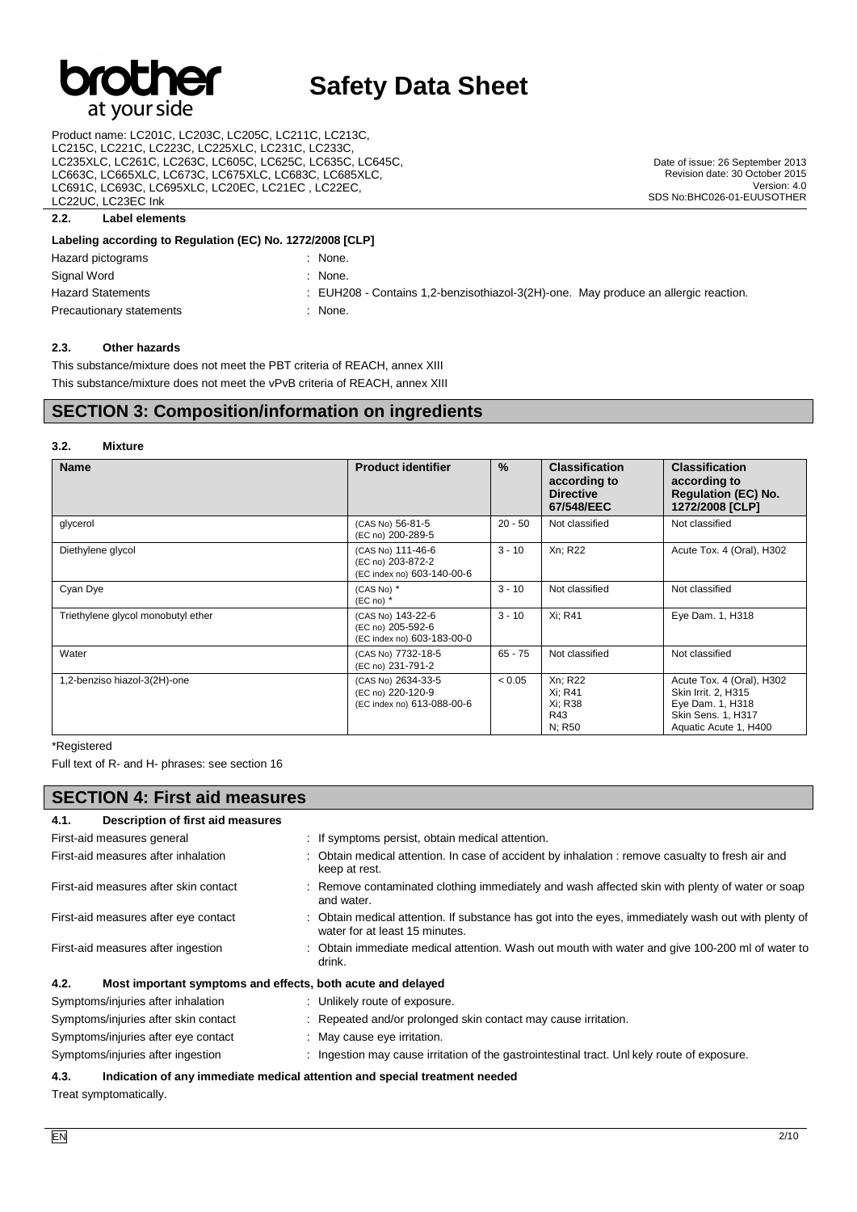

Product name: LC201C, LC203C, LC205C, LC211C, LC213C, LC215C, LC221C, LC223C, LC225XLC, LC231C, LC233C, LC235XLC, LC261C, LC263C, LC605C, LC625C, LC635C, LC645C, LC663C, LC665XLC, LC673C, LC675XLC, LC683C, LC685XLC, LC691C, LC693C, LC695XLC, LC20EC, LC21EC , LC22EC, LC22UC, LC23EC Ink

## **2.2. Label elements**

#### **Labeling according to Regulation (EC) No. 1272/2008 [CLP]**

| Hazard pictograms        | None.                                                                               |
|--------------------------|-------------------------------------------------------------------------------------|
| Signal Word              | None.                                                                               |
| <b>Hazard Statements</b> | : EUH208 - Contains 1,2-benzisothiazol-3(2H)-one. May produce an allergic reaction. |
| Precautionary statements | None.                                                                               |

#### **2.3. Other hazards**

This substance/mixture does not meet the PBT criteria of REACH, annex XIII This substance/mixture does not meet the vPvB criteria of REACH, annex XIII

## **SECTION 3: Composition/information on ingredients**

#### **3.2. Mixture**

| <b>Name</b>                        | <b>Product identifier</b>                                             | $\%$      | <b>Classification</b><br>according to<br><b>Directive</b><br>67/548/EEC | <b>Classification</b><br>according to<br><b>Regulation (EC) No.</b><br>1272/2008 [CLP]                              |
|------------------------------------|-----------------------------------------------------------------------|-----------|-------------------------------------------------------------------------|---------------------------------------------------------------------------------------------------------------------|
| glycerol                           | (CAS No) 56-81-5<br>(EC no) 200-289-5                                 | $20 - 50$ | Not classified                                                          | Not classified                                                                                                      |
| Diethylene glycol                  | (CAS No) 111-46-6<br>(EC no) 203-872-2<br>(EC index no) 603-140-00-6  | $3 - 10$  | Xn; R22                                                                 | Acute Tox. 4 (Oral), H302                                                                                           |
| Cyan Dye                           | (CAS No) *<br>$(EC \n  no)$ *                                         | $3 - 10$  | Not classified                                                          | Not classified                                                                                                      |
| Triethylene glycol monobutyl ether | (CAS No) 143-22-6<br>(EC no) 205-592-6<br>(EC index no) 603-183-00-0  | $3 - 10$  | Xi; R41                                                                 | Eye Dam. 1, H318                                                                                                    |
| Water                              | (CAS No) 7732-18-5<br>(EC no) 231-791-2                               | $65 - 75$ | Not classified                                                          | Not classified                                                                                                      |
| 1,2-benziso hiazol-3(2H)-one       | (CAS No) 2634-33-5<br>(EC no) 220-120-9<br>(EC index no) 613-088-00-6 | < 0.05    | Xn; R22<br>Xi: R41<br>Xi: R38<br>R43<br>N: R50                          | Acute Tox. 4 (Oral), H302<br>Skin Irrit. 2, H315<br>Eye Dam. 1, H318<br>Skin Sens. 1, H317<br>Aquatic Acute 1, H400 |

\*Registered

Full text of R- and H- phrases: see section 16

| <b>SECTION 4: First aid measures</b>      |                                                                                                                                       |  |  |
|-------------------------------------------|---------------------------------------------------------------------------------------------------------------------------------------|--|--|
| Description of first aid measures<br>4.1. |                                                                                                                                       |  |  |
| First-aid measures general                | : If symptoms persist, obtain medical attention.                                                                                      |  |  |
| First-aid measures after inhalation       | : Obtain medical attention. In case of accident by inhalation : remove casualty to fresh air and<br>keep at rest.                     |  |  |
| First-aid measures after skin contact     | : Remove contaminated clothing immediately and wash affected skin with plenty of water or soap<br>and water.                          |  |  |
| First-aid measures after eye contact      | : Obtain medical attention. If substance has got into the eyes, immediately wash out with plenty of<br>water for at least 15 minutes. |  |  |
| First-aid measures after ingestion        | : Obtain immediate medical attention. Wash out mouth with water and give 100-200 ml of water to<br>drink.                             |  |  |
| 4.2.                                      | Most important symptoms and effects, both acute and delayed                                                                           |  |  |
| Symptoms/injuries after inhalation        | : Unlikely route of exposure.                                                                                                         |  |  |
| Symptoms/injuries after skin contact      | : Repeated and/or prolonged skin contact may cause irritation.                                                                        |  |  |
| Symptoms/injuries after eye contact       | : May cause eye irritation.                                                                                                           |  |  |
| Symptoms/injuries after ingestion         | : Ingestion may cause irritation of the gastrointestinal tract. Unl kely route of exposure.                                           |  |  |

#### **4.3. Indication of any immediate medical attention and special treatment needed**

Treat symptomatically.

Date of issue: 26 September 2013 Revision date: 30 October 2015

SDS No:BHC026-01-EUUSOTHER

Version: 4.0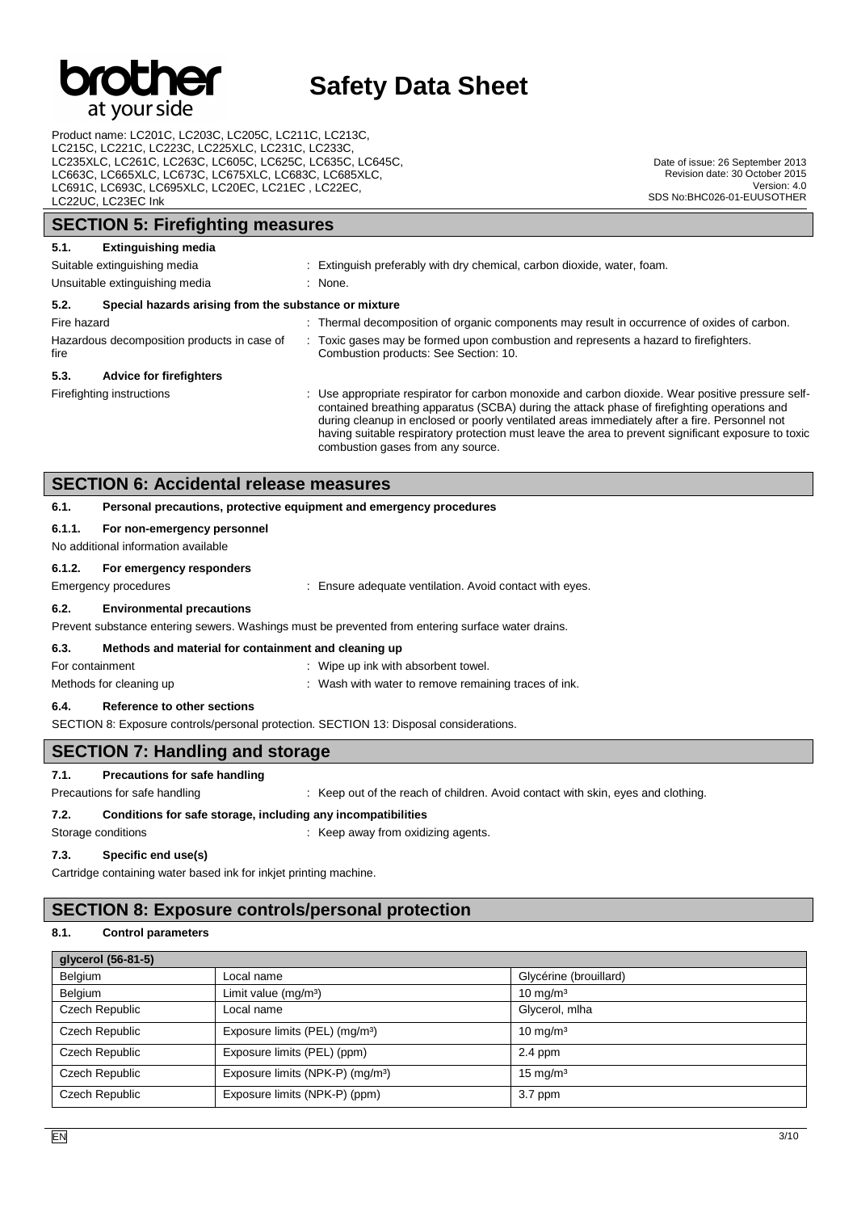

Product name: LC201C, LC203C, LC205C, LC211C, LC213C, LC215C, LC221C, LC223C, LC225XLC, LC231C, LC233C, LC235XLC, LC261C, LC263C, LC605C, LC625C, LC635C, LC645C, LC663C, LC665XLC, LC673C, LC675XLC, LC683C, LC685XLC, LC691C, LC693C, LC695XLC, LC20EC, LC21EC , LC22EC, LC22UC, LC23EC Ink

Date of issue: 26 September 2013 Revision date: 30 October 2015 Version: 4.0 SDS No:BHC026-01-EUUSOTHER

## **SECTION 5: Firefighting measures 5.1. Extinguishing media** Suitable extinguishing media : Extinguish preferably with dry chemical, carbon dioxide, water, foam. Unsuitable extinguishing media : None. **5.2. Special hazards arising from the substance or mixture** Fire hazard **interval in the state of the composition** of organic components may result in occurrence of oxides of carbon. Hazardous decomposition products in case of fire : Toxic gases may be formed upon combustion and represents a hazard to firefighters. Combustion products: See Section: 10. **5.3. Advice for firefighters** Firefighting instructions **included in the CO** : Use appropriate respirator for carbon monoxide and carbon dioxide. Wear positive pressure selfcontained breathing apparatus (SCBA) during the attack phase of firefighting operations and during cleanup in enclosed or poorly ventilated areas immediately after a fire. Personnel not having suitable respiratory protection must leave the area to prevent significant exposure to toxic combustion gases from any source. **SECTION 6: Accidental release measures 6.1. Personal precautions, protective equipment and emergency procedures 6.1.1. For non-emergency personnel** No additional information available

## **6.1.2. For emergency responders**

Emergency procedures **in the set of the set of the set of the set of the set of the set of the set of the set of the set of the set of the set of the set of the set of the set of the set of the set of the set of the set of** 

#### **6.2. Environmental precautions**

#### Prevent substance entering sewers. Washings must be prevented from entering surface water drains.

### **6.3. Methods and material for containment and cleaning up**

For containment **interval and the Containment** : Wipe up ink with absorbent towel.

Methods for cleaning up : Wash with water to remove remaining traces of ink.

### **6.4. Reference to other sections**

SECTION 8: Exposure controls/personal protection. SECTION 13: Disposal considerations.

## **SECTION 7: Handling and storage**

## **7.1. Precautions for safe handling**

Precautions for safe handling : Keep out of the reach of children. Avoid contact with skin, eyes and clothing.

### **7.2. Conditions for safe storage, including any incompatibilities**

Storage conditions **Storage conditions** : Keep away from oxidizing agents.

### **7.3. Specific end use(s)**

Cartridge containing water based ink for inkjet printing machine.

## **SECTION 8: Exposure controls/personal protection**

#### **8.1. Control parameters**

| glycerol (56-81-5) |                                              |                        |  |  |  |  |
|--------------------|----------------------------------------------|------------------------|--|--|--|--|
| Belgium            | Local name                                   | Glycérine (brouillard) |  |  |  |  |
| Belgium            | Limit value $(mg/m3)$                        | $10 \text{ mg/m}^3$    |  |  |  |  |
| Czech Republic     | Local name                                   | Glycerol, mlha         |  |  |  |  |
| Czech Republic     | Exposure limits (PEL) (mg/m <sup>3</sup> )   | $10 \text{ mg/m}^3$    |  |  |  |  |
| Czech Republic     | Exposure limits (PEL) (ppm)                  | $2.4$ ppm              |  |  |  |  |
| Czech Republic     | Exposure limits (NPK-P) (mg/m <sup>3</sup> ) | $15 \text{ mg/m}^3$    |  |  |  |  |
| Czech Republic     | Exposure limits (NPK-P) (ppm)                | 3.7 ppm                |  |  |  |  |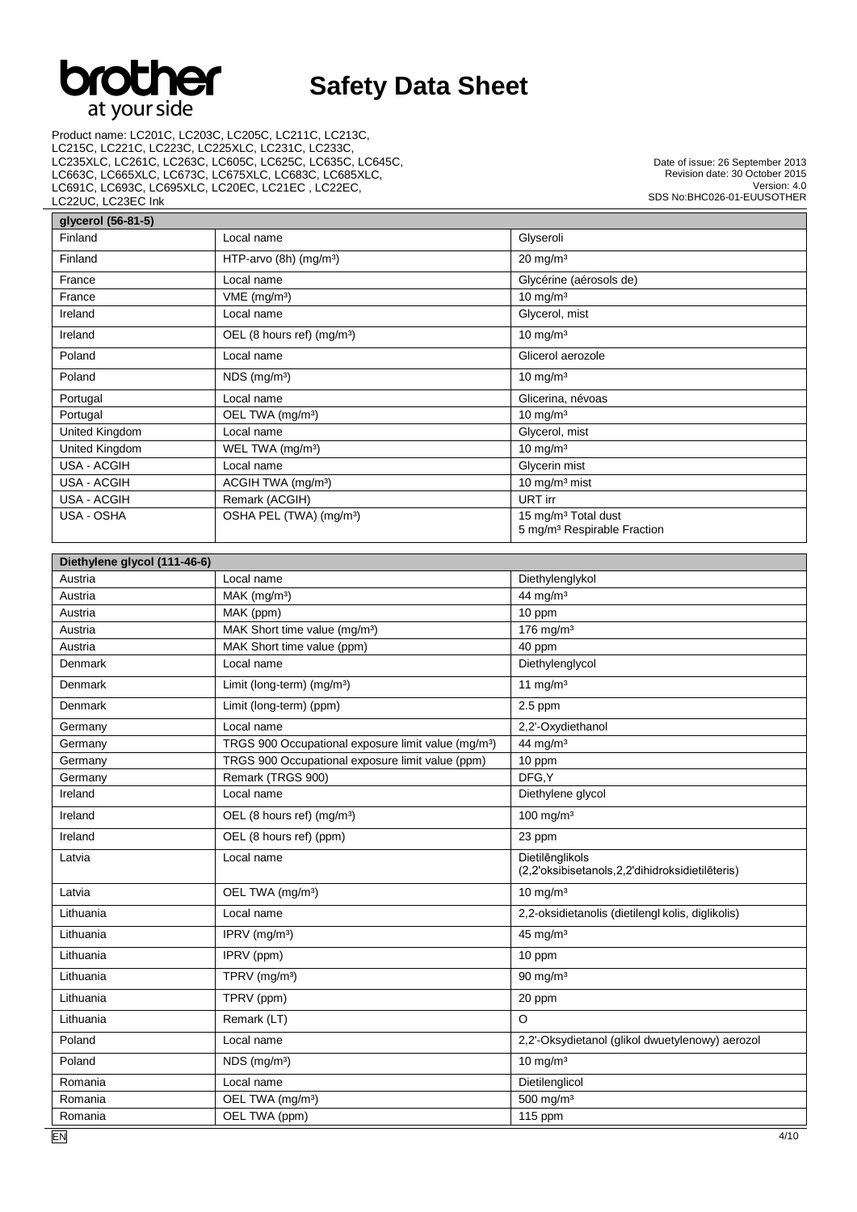

Product name: LC201C, LC203C, LC205C, LC211C, LC213C, LC215C, LC221C, LC223C, LC225XLC, LC231C, LC233C, LC235XLC, LC261C, LC263C, LC605C, LC625C, LC635C, LC645C, LC663C, LC665XLC, LC673C, LC675XLC, LC683C, LC685XLC, LC691C, LC693C, LC695XLC, LC20EC, LC21EC , LC22EC, LC22UC, LC23EC Ink

Date of issue: 26 September 2013 Revision date: 30 October 2015 Version: 4.0 SDS No:BHC026-01-EUUSOTHER

٦

| glycerol (56-81-5) |                                        |                                                                            |  |  |  |
|--------------------|----------------------------------------|----------------------------------------------------------------------------|--|--|--|
| Finland            | Local name                             | Glyseroli                                                                  |  |  |  |
| Finland            | HTP-arvo $(8h)$ (mg/m <sup>3</sup> )   | $20 \text{ mg/m}^3$                                                        |  |  |  |
| France             | Local name                             | Glycérine (aérosols de)                                                    |  |  |  |
| France             | $VME$ (mg/m <sup>3</sup> )             | $10 \text{ mg/m}^3$                                                        |  |  |  |
| Ireland            | Local name                             | Glycerol, mist                                                             |  |  |  |
| Ireland            | OEL (8 hours ref) (mg/m <sup>3</sup> ) | $10 \text{ mg/m}^3$                                                        |  |  |  |
| Poland             | Local name                             | Glicerol aerozole                                                          |  |  |  |
| Poland             | $NDS$ (mg/m <sup>3</sup> )             | $10 \text{ mg/m}^3$                                                        |  |  |  |
| Portugal           | Local name                             | Glicerina, névoas                                                          |  |  |  |
| Portugal           | OEL TWA (mg/m <sup>3</sup> )           | 10 mg/m $3$                                                                |  |  |  |
| United Kingdom     | Local name                             | Glycerol, mist                                                             |  |  |  |
| United Kingdom     | WEL TWA (mg/m <sup>3</sup> )           | $10 \text{ mg/m}^3$                                                        |  |  |  |
| USA - ACGIH        | Local name                             | Glycerin mist                                                              |  |  |  |
| USA - ACGIH        | ACGIH TWA (mg/m <sup>3</sup> )         | 10 $mq/m3$ mist                                                            |  |  |  |
| USA - ACGIH        | Remark (ACGIH)                         | URT irr                                                                    |  |  |  |
| USA - OSHA         | OSHA PEL (TWA) (mg/m <sup>3</sup> )    | 15 mg/m <sup>3</sup> Total dust<br>5 mg/m <sup>3</sup> Respirable Fraction |  |  |  |

| Diethylene glycol (111-46-6) |                                                                 |                                                                    |
|------------------------------|-----------------------------------------------------------------|--------------------------------------------------------------------|
| Austria                      | Local name                                                      | Diethylenglykol                                                    |
| Austria                      | $MAK$ (mg/m <sup>3</sup> )                                      | 44 mg/m $3$                                                        |
| Austria                      | MAK (ppm)                                                       | 10 ppm                                                             |
| Austria                      | MAK Short time value (mg/m <sup>3</sup> )                       | 176 mg/m <sup>3</sup>                                              |
| Austria                      | MAK Short time value (ppm)                                      | 40 ppm                                                             |
| Denmark                      | Local name                                                      | Diethylenglycol                                                    |
| Denmark                      | Limit (long-term) (mg/m <sup>3</sup> )                          | 11 mg/m $3$                                                        |
| Denmark                      | Limit (long-term) (ppm)                                         | $2.5$ ppm                                                          |
| Germany                      | Local name                                                      | 2,2'-Oxydiethanol                                                  |
| Germany                      | TRGS 900 Occupational exposure limit value (mg/m <sup>3</sup> ) | 44 mg/m <sup>3</sup>                                               |
| Germany                      | TRGS 900 Occupational exposure limit value (ppm)                | 10 ppm                                                             |
| Germany                      | Remark (TRGS 900)                                               | DFG.Y                                                              |
| Ireland                      | Local name                                                      | Diethylene glycol                                                  |
| Ireland                      | OEL (8 hours ref) (mg/m <sup>3</sup> )                          | $100$ mg/m <sup>3</sup>                                            |
| Ireland                      | OEL (8 hours ref) (ppm)                                         | 23 ppm                                                             |
| Latvia                       | Local name                                                      | Dietilēnglikols<br>(2,2'oksibisetanols,2,2'dihidroksidietilēteris) |
| Latvia                       | OEL TWA (mg/m <sup>3</sup> )                                    | $10 \text{ mg/m}^3$                                                |
| Lithuania                    | Local name                                                      | 2,2-oksidietanolis (dietilengl kolis, diglikolis)                  |
| Lithuania                    | IPRV $(mg/m3)$                                                  | $45 \text{ mg/m}^3$                                                |
| Lithuania                    | IPRV (ppm)                                                      | 10 ppm                                                             |
| Lithuania                    | TPRV (mg/m <sup>3</sup> )                                       | $90$ mg/m <sup>3</sup>                                             |
| Lithuania                    | TPRV (ppm)                                                      | 20 ppm                                                             |
| Lithuania                    | Remark (LT)                                                     | $\circ$                                                            |
| Poland                       | Local name                                                      | 2,2'-Oksydietanol (glikol dwuetylenowy) aerozol                    |
| Poland                       | $NDS$ (mg/m <sup>3</sup> )                                      | $10$ mg/m <sup>3</sup>                                             |
| Romania                      | Local name                                                      | Dietilenglicol                                                     |
| Romania                      | OEL TWA (mg/m <sup>3</sup> )                                    | 500 mg/m <sup>3</sup>                                              |
| Romania                      | OEL TWA (ppm)                                                   | 115 ppm                                                            |
|                              |                                                                 |                                                                    |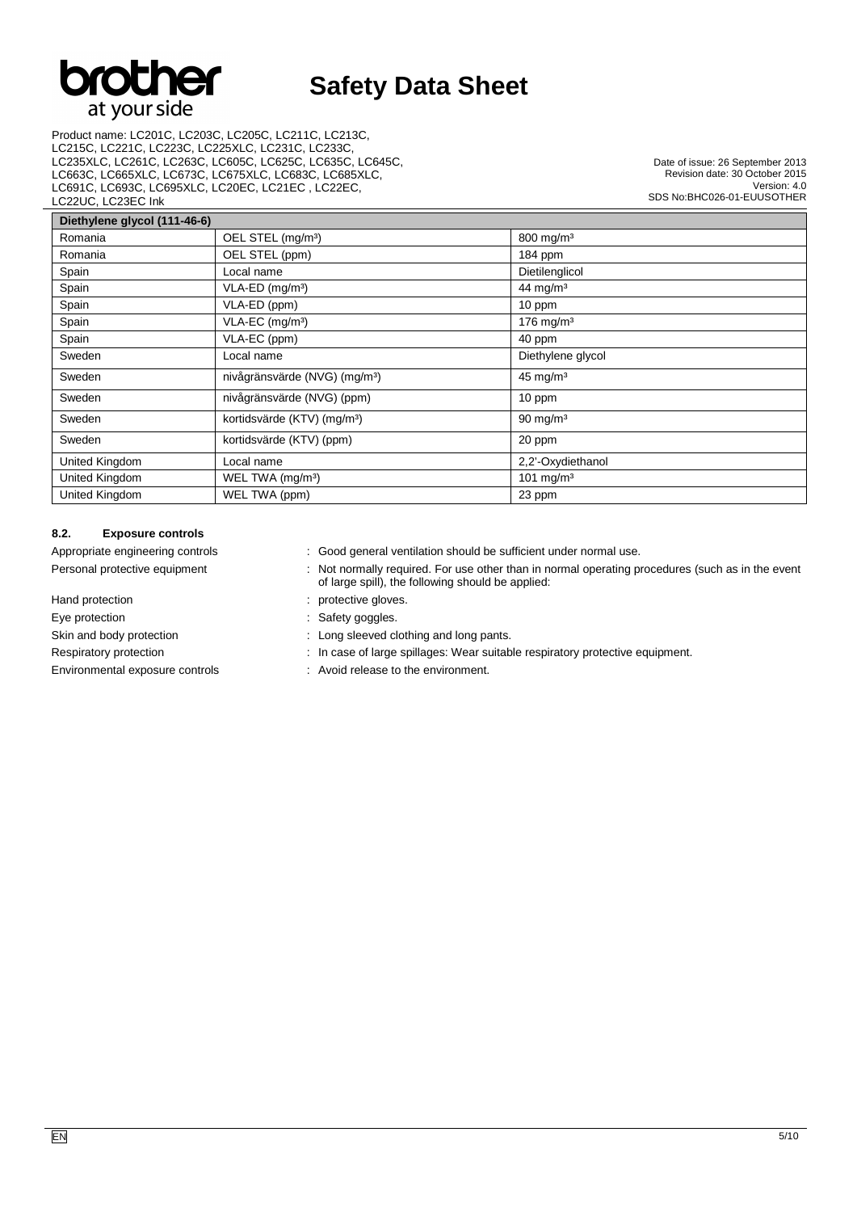

Product name: LC201C, LC203C, LC205C, LC211C, LC213C, LC215C, LC221C, LC223C, LC225XLC, LC231C, LC233C, LC235XLC, LC261C, LC263C, LC605C, LC625C, LC635C, LC645C, LC663C, LC665XLC, LC673C, LC675XLC, LC683C, LC685XLC, LC691C, LC693C, LC695XLC, LC20EC, LC21EC , LC22EC, LC22UC, LC23EC Ink

Date of issue: 26 September 2013 Revision date: 30 October 2015 Version: 4.0 SDS No:BHC026-01-EUUSOTHER

| Diethylene glycol (111-46-6) |                                           |                       |  |  |  |
|------------------------------|-------------------------------------------|-----------------------|--|--|--|
| Romania                      | OEL STEL (mg/m <sup>3</sup> )             | 800 mg/m <sup>3</sup> |  |  |  |
| Romania                      | OEL STEL (ppm)                            | 184 ppm               |  |  |  |
| Spain                        | Local name                                | Dietilenglicol        |  |  |  |
| Spain                        | $VLA-ED$ (mg/m <sup>3</sup> )             | 44 mg/m <sup>3</sup>  |  |  |  |
| Spain                        | VLA-ED (ppm)                              | 10 ppm                |  |  |  |
| Spain                        | VLA-EC (mg/m <sup>3</sup> )               | 176 mg/m $3$          |  |  |  |
| Spain                        | VLA-EC (ppm)                              | 40 ppm                |  |  |  |
| Sweden                       | Local name                                | Diethylene glycol     |  |  |  |
| Sweden                       | nivågränsvärde (NVG) (mg/m <sup>3</sup> ) | $45 \text{ mg/m}^3$   |  |  |  |
| Sweden                       | nivågränsvärde (NVG) (ppm)                | 10 ppm                |  |  |  |
| Sweden                       | kortidsvärde (KTV) (mg/m <sup>3</sup> )   | $90 \text{ mg/m}^3$   |  |  |  |
| Sweden                       | kortidsvärde (KTV) (ppm)                  | 20 ppm                |  |  |  |
| United Kingdom               | Local name                                | 2,2'-Oxydiethanol     |  |  |  |
| United Kingdom               | WEL TWA (mg/m <sup>3</sup> )              | 101 mg/m $3$          |  |  |  |
| United Kingdom               | WEL TWA (ppm)                             | 23 ppm                |  |  |  |

## **8.2. Exposure controls**

- Appropriate engineering controls in the state of cood general ventilation should be sufficient under normal use.
- Personal protective equipment : Not normally required. For use other than in normal operating procedures (such as in the event of large spill), the following should be applied:
- Hand protection **in the case of the contract of the contract of the contract of the contract of the contract of the contract of the contract of the contract of the contract of the contract of the contract of the contract o**
- Eye protection  $\qquad \qquad :$  Safety goggles.
- Skin and body protection : Long sleeved clothing and long pants.
- Respiratory protection : In case of large spillages: Wear suitable respiratory protective equipment.
- Environmental exposure controls : Avoid release to the environment.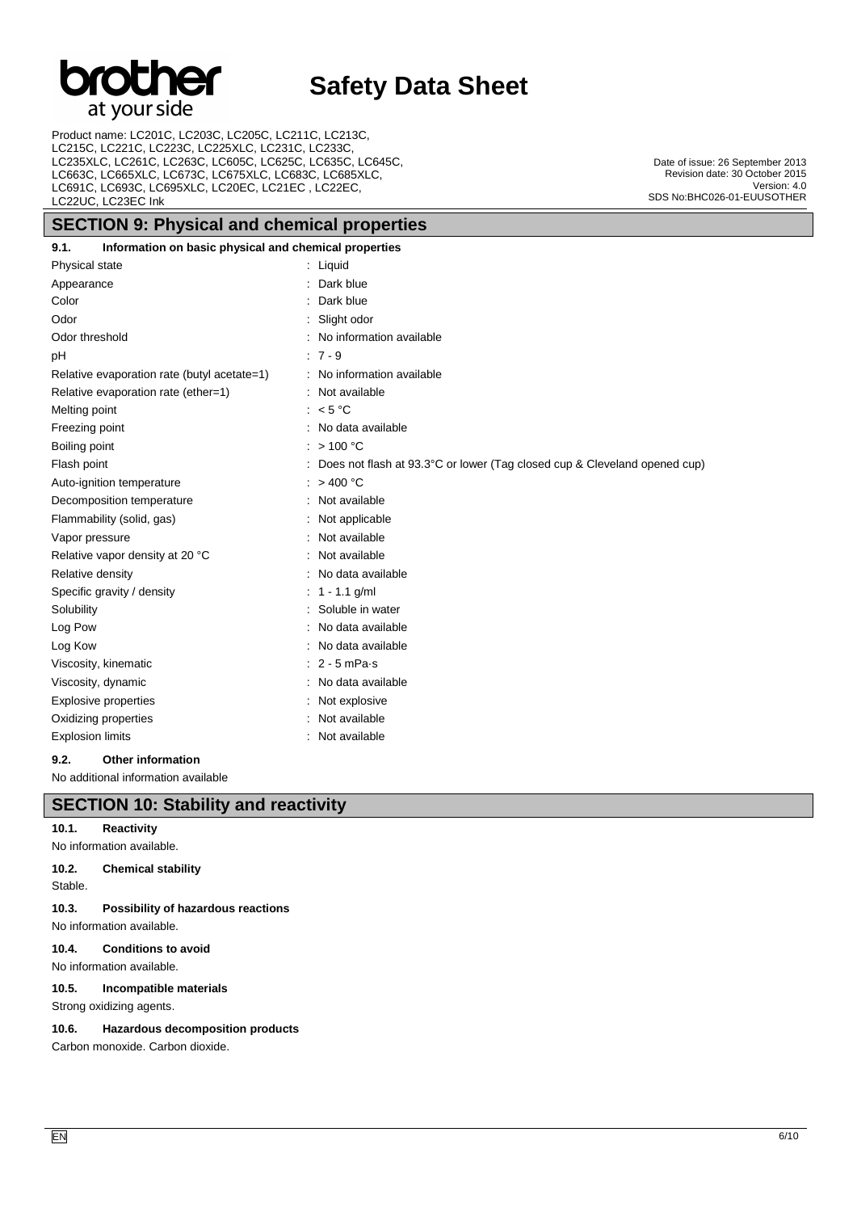## br er at your side

# **Safety Data Sheet**

Product name: LC201C, LC203C, LC205C, LC211C, LC213C, LC215C, LC221C, LC223C, LC225XLC, LC231C, LC233C, LC235XLC, LC261C, LC263C, LC605C, LC625C, LC635C, LC645C, LC663C, LC665XLC, LC673C, LC675XLC, LC683C, LC685XLC, LC691C, LC693C, LC695XLC, LC20EC, LC21EC , LC22EC, LC22UC, LC23EC Ink

## **SECTION 9: Physical and chemical properties**

Date of issue: 26 September 2013 Revision date: 30 October 2015 Version: 4.0 SDS No:BHC026-01-EUUSOTHER

| 9.1.                    | Information on basic physical and chemical properties |                                                                           |
|-------------------------|-------------------------------------------------------|---------------------------------------------------------------------------|
| Physical state          |                                                       | $:$ Liquid                                                                |
| Appearance              |                                                       | Dark blue                                                                 |
| Color                   |                                                       | Dark blue                                                                 |
| Odor                    |                                                       | Slight odor                                                               |
| Odor threshold          |                                                       | : No information available                                                |
| pH                      |                                                       | $:7 - 9$                                                                  |
|                         | Relative evaporation rate (butyl acetate=1)           | : No information available                                                |
|                         | Relative evaporation rate (ether=1)                   | Not available                                                             |
| Melting point           |                                                       | $\approx$ 5 °C                                                            |
| Freezing point          |                                                       | No data available                                                         |
| Boiling point           |                                                       | : $> 100 °C$                                                              |
| Flash point             |                                                       | Does not flash at 93.3°C or lower (Tag closed cup & Cleveland opened cup) |
|                         | Auto-ignition temperature                             | $:$ > 400 °C                                                              |
|                         | Decomposition temperature                             | : Not available                                                           |
|                         | Flammability (solid, gas)                             | : Not applicable                                                          |
| Vapor pressure          |                                                       | : Not available                                                           |
|                         | Relative vapor density at 20 °C                       | Not available                                                             |
| Relative density        |                                                       | No data available                                                         |
|                         | Specific gravity / density                            | $1 - 1.1$ g/ml                                                            |
| Solubility              |                                                       | Soluble in water                                                          |
| Log Pow                 |                                                       | No data available                                                         |
| Log Kow                 |                                                       | : No data available                                                       |
|                         | Viscosity, kinematic                                  | $: 2 - 5$ mPa s                                                           |
| Viscosity, dynamic      |                                                       | No data available                                                         |
|                         | <b>Explosive properties</b>                           | : Not explosive                                                           |
|                         | Oxidizing properties                                  | Not available                                                             |
| <b>Explosion limits</b> |                                                       | : Not available                                                           |
| 9.2.                    | <b>Other information</b>                              |                                                                           |

No additional information available

## **SECTION 10: Stability and reactivity**

## **10.1. Reactivity**

No information available.

## **10.2. Chemical stability**

Stable.

**10.3. Possibility of hazardous reactions** No information available.

## **10.4. Conditions to avoid**

No information available.

## **10.5. Incompatible materials**

Strong oxidizing agents.

## **10.6. Hazardous decomposition products**

Carbon monoxide. Carbon dioxide.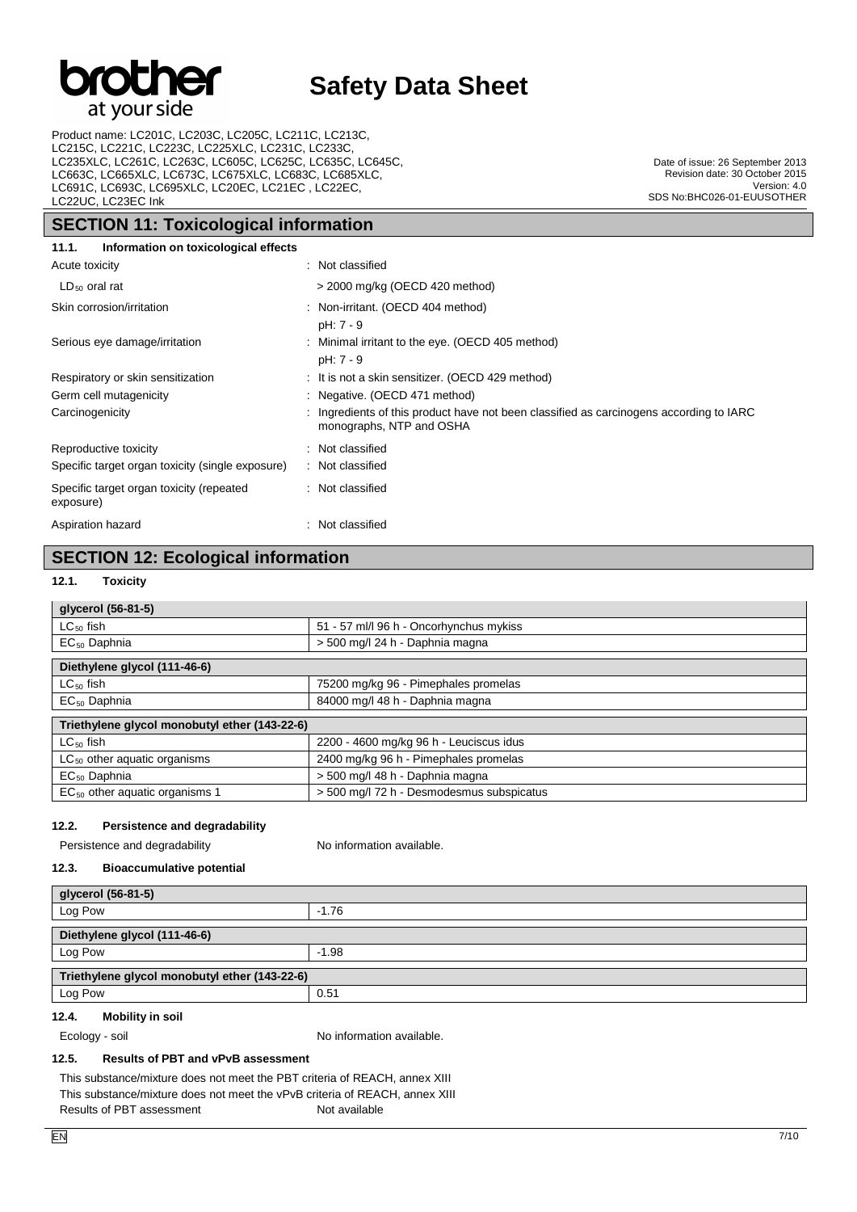

Product name: LC201C, LC203C, LC205C, LC211C, LC213C, LC215C, LC221C, LC223C, LC225XLC, LC231C, LC233C, LC235XLC, LC261C, LC263C, LC605C, LC625C, LC635C, LC645C, LC663C, LC665XLC, LC673C, LC675XLC, LC683C, LC685XLC, LC691C, LC693C, LC695XLC, LC20EC, LC21EC , LC22EC, LC22UC, LC23EC Ink

## **SECTION 11: Toxicological information**

Date of issue: 26 September 2013 Revision date: 30 October 2015 Version: 4.0 SDS No:BHC026-01-EUUSOTHER

| Information on toxicological effects<br>11.1.         |                                                                                                                     |
|-------------------------------------------------------|---------------------------------------------------------------------------------------------------------------------|
| Acute toxicity                                        | : Not classified                                                                                                    |
| $LD_{50}$ oral rat                                    | > 2000 mg/kg (OECD 420 method)                                                                                      |
| Skin corrosion/irritation                             | : Non-irritant. (OECD 404 method)<br>pH: 7 - 9                                                                      |
| Serious eye damage/irritation                         | : Minimal irritant to the eye. (OECD 405 method)<br>pH: 7 - 9                                                       |
| Respiratory or skin sensitization                     | : It is not a skin sensitizer. (OECD 429 method)                                                                    |
| Germ cell mutagenicity                                | : Negative. (OECD 471 method)                                                                                       |
| Carcinogenicity                                       | : Ingredients of this product have not been classified as carcinogens according to IARC<br>monographs, NTP and OSHA |
| Reproductive toxicity                                 | : Not classified                                                                                                    |
| Specific target organ toxicity (single exposure)      | : Not classified                                                                                                    |
| Specific target organ toxicity (repeated<br>exposure) | : Not classified                                                                                                    |
| Aspiration hazard                                     | : Not classified                                                                                                    |

## **SECTION 12: Ecological information**

## **12.1. Toxicity**

| glycerol (56-81-5)                            |                                           |  |  |  |
|-----------------------------------------------|-------------------------------------------|--|--|--|
| $LC_{50}$ fish                                | 51 - 57 ml/l 96 h - Oncorhynchus mykiss   |  |  |  |
| $EC_{50}$ Daphnia                             | > 500 mg/l 24 h - Daphnia magna           |  |  |  |
| Diethylene glycol (111-46-6)                  |                                           |  |  |  |
| $LC_{50}$ fish                                | 75200 mg/kg 96 - Pimephales promelas      |  |  |  |
| $EC_{50}$ Daphnia                             | 84000 mg/l 48 h - Daphnia magna           |  |  |  |
| Triethylene glycol monobutyl ether (143-22-6) |                                           |  |  |  |
| $LC_{50}$ fish                                | 2200 - 4600 mg/kg 96 h - Leuciscus idus   |  |  |  |
| $LC_{50}$ other aquatic organisms             | 2400 mg/kg 96 h - Pimephales promelas     |  |  |  |
| $EC_{50}$ Daphnia                             | > 500 mg/l 48 h - Daphnia magna           |  |  |  |
| $EC_{50}$ other aquatic organisms 1           | > 500 mg/l 72 h - Desmodesmus subspicatus |  |  |  |

## **12.2. Persistence and degradability**

Persistence and degradability No information available.

#### **12.3. Bioaccumulative potential**

| glycerol (56-81-5)                            |         |  |  |
|-----------------------------------------------|---------|--|--|
| Log Pow                                       | $-1.76$ |  |  |
| Diethylene glycol (111-46-6)                  |         |  |  |
| Log Pow                                       | $-1.98$ |  |  |
| Triethylene glycol monobutyl ether (143-22-6) |         |  |  |
| Log Pow                                       | 0.51    |  |  |

#### **12.4. Mobility in soil**

Ecology - soil **Ecology** - soil and the number of  $\alpha$  of  $\alpha$  information available.

## **12.5. Results of PBT and vPvB assessment**

This substance/mixture does not meet the PBT criteria of REACH, annex XIII This substance/mixture does not meet the vPvB criteria of REACH, annex XIII Results of PBT assessment Not available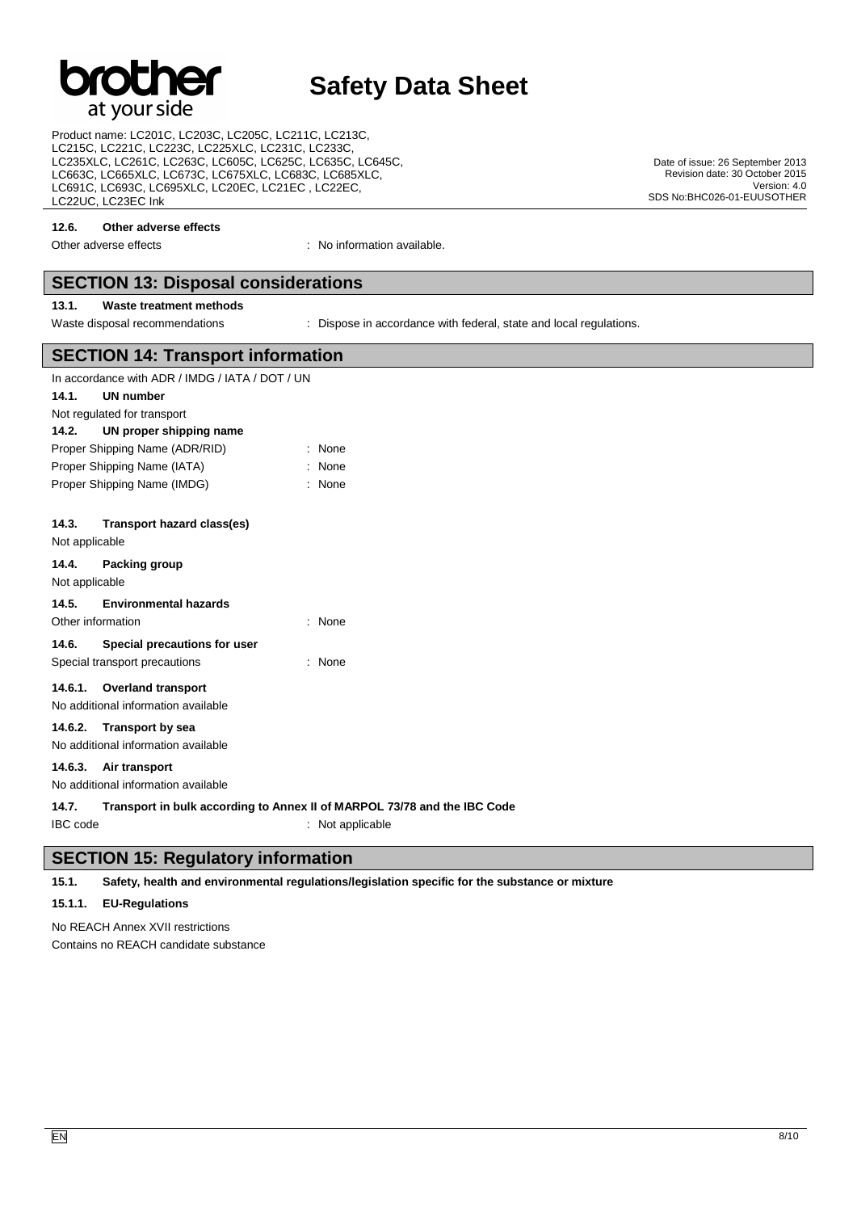# at your side

# **Safety Data Sheet**

Product name: LC201C, LC203C, LC205C, LC211C, LC213C, LC215C, LC221C, LC223C, LC225XLC, LC231C, LC233C, LC235XLC, LC261C, LC263C, LC605C, LC625C, LC635C, LC645C, LC663C, LC665XLC, LC673C, LC675XLC, LC683C, LC685XLC, LC691C, LC693C, LC695XLC, LC20EC, LC21EC , LC22EC, LC22UC, LC23EC Ink

#### **12.6. Other adverse effects**

Other adverse effects in the state of the state of the state of the state of the state of the state of the state of the state of the state of the state of the state of the state of the state of the state of the state of th

## **SECTION 13: Disposal considerations**

## **13.1. Waste treatment methods**

Waste disposal recommendations : Dispose in accordance with federal, state and local regulations.

|                                | <b>SECTION 14: Transport information</b>        |                                                                          |  |  |  |
|--------------------------------|-------------------------------------------------|--------------------------------------------------------------------------|--|--|--|
|                                | In accordance with ADR / IMDG / IATA / DOT / UN |                                                                          |  |  |  |
| 14.1.                          | UN number                                       |                                                                          |  |  |  |
|                                | Not regulated for transport                     |                                                                          |  |  |  |
| 14.2.                          | UN proper shipping name                         |                                                                          |  |  |  |
| Proper Shipping Name (ADR/RID) |                                                 | : None                                                                   |  |  |  |
| Proper Shipping Name (IATA)    |                                                 | : None                                                                   |  |  |  |
|                                | Proper Shipping Name (IMDG)                     | : None                                                                   |  |  |  |
| 14.3.<br>Not applicable        | <b>Transport hazard class(es)</b>               |                                                                          |  |  |  |
| 14.4.<br>Not applicable        | Packing group                                   |                                                                          |  |  |  |
| 14.5.                          | <b>Environmental hazards</b>                    |                                                                          |  |  |  |
|                                | Other information                               | : None                                                                   |  |  |  |
| 14.6.                          | Special precautions for user                    |                                                                          |  |  |  |
|                                | Special transport precautions                   | : None                                                                   |  |  |  |
| 14.6.1.                        | <b>Overland transport</b>                       |                                                                          |  |  |  |
|                                | No additional information available             |                                                                          |  |  |  |
| 14.6.2.                        | <b>Transport by sea</b>                         |                                                                          |  |  |  |
|                                | No additional information available             |                                                                          |  |  |  |
| 14.6.3.                        | Air transport                                   |                                                                          |  |  |  |
|                                | No additional information available             |                                                                          |  |  |  |
| 4 A 7                          |                                                 | Transport in bulk assorbing to Annoy II of MADDOL 72/70 and the IDC Cade |  |  |  |

**14.7. Transport in bulk according to Annex II of MARPOL 73/78 and the IBC Code** IBC code : Not applicable

## **SECTION 15: Regulatory information**

**15.1. Safety, health and environmental regulations/legislation specific for the substance or mixture**

## **15.1.1. EU-Regulations**

No REACH Annex XVII restrictions Contains no REACH candidate substance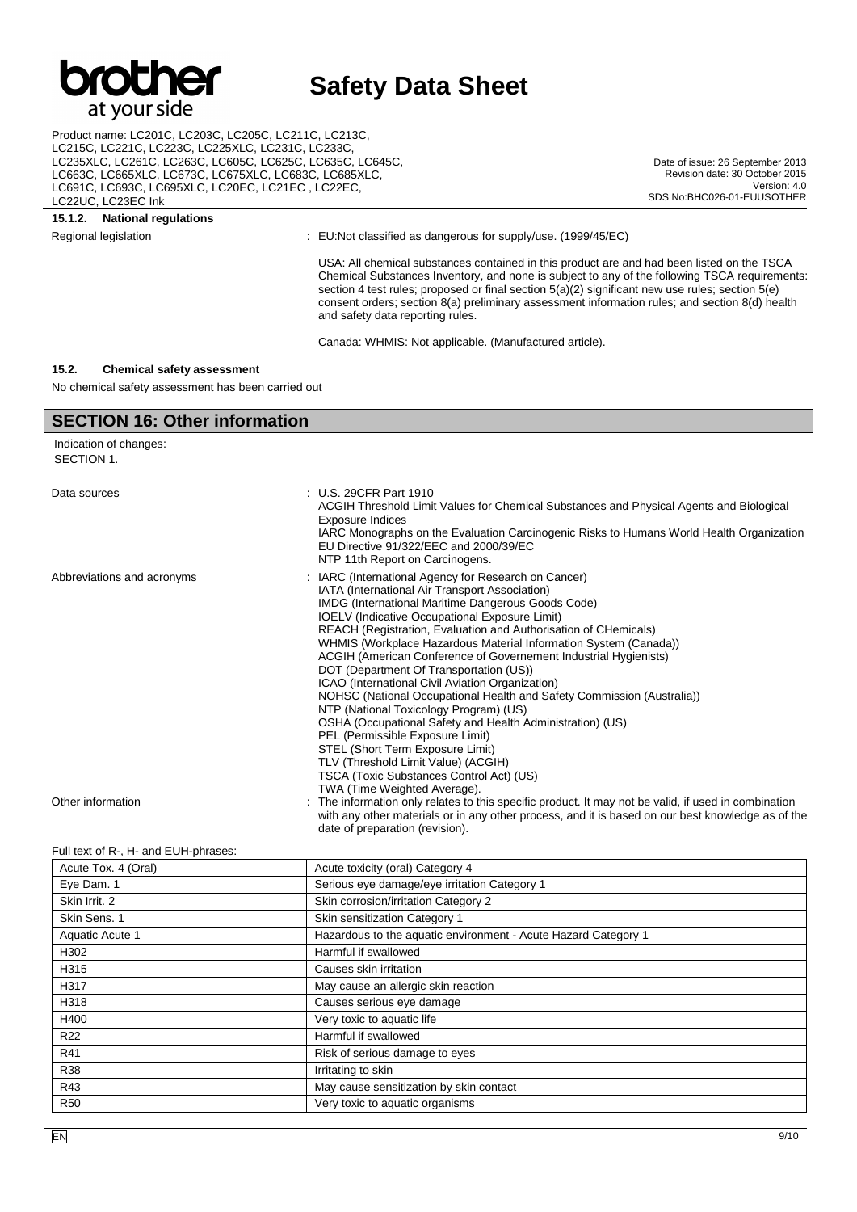

Product name: LC201C, LC203C, LC205C, LC211C, LC213C, LC215C, LC221C, LC223C, LC225XLC, LC231C, LC233C, LC235XLC, LC261C, LC263C, LC605C, LC625C, LC635C, LC645C, LC663C, LC665XLC, LC673C, LC675XLC, LC683C, LC685XLC, LC691C, LC693C, LC695XLC, LC20EC, LC21EC , LC22EC, LC22UC, LC23EC Ink

#### **15.1.2. National regulations**

Regional legislation : EU:Not classified as dangerous for supply/use. (1999/45/EC)

USA: All chemical substances contained in this product are and had been listed on the TSCA Chemical Substances Inventory, and none is subject to any of the following TSCA requirements: section 4 test rules; proposed or final section 5(a)(2) significant new use rules; section 5(e) consent orders; section 8(a) preliminary assessment information rules; and section 8(d) health and safety data reporting rules.

Date of issue: 26 September 2013 Revision date: 30 October 2015

SDS No:BHC026-01-EUUSOTHER

Version: 4.0

Canada: WHMIS: Not applicable. (Manufactured article).

#### **15.2. Chemical safety assessment**

No chemical safety assessment has been carried out

## **SECTION 16: Other information**

Indication of changes: SECTION 1. Data sources : U.S. 29CFR Part 1910 ACGIH Threshold Limit Values for Chemical Substances and Physical Agents and Biological Exposure Indices IARC Monographs on the Evaluation Carcinogenic Risks to Humans World Health Organization EU Directive 91/322/EEC and 2000/39/EC NTP 11th Report on Carcinogens. Abbreviations and acronyms : IARC (International Agency for Research on Cancer) IATA (International Air Transport Association) IMDG (International Maritime Dangerous Goods Code) IOELV (Indicative Occupational Exposure Limit) REACH (Registration, Evaluation and Authorisation of CHemicals) WHMIS (Workplace Hazardous Material Information System (Canada)) ACGIH (American Conference of Governement Industrial Hygienists) DOT (Department Of Transportation (US)) ICAO (International Civil Aviation Organization) NOHSC (National Occupational Health and Safety Commission (Australia)) NTP (National Toxicology Program) (US) OSHA (Occupational Safety and Health Administration) (US) PEL (Permissible Exposure Limit) STEL (Short Term Exposure Limit) TLV (Threshold Limit Value) (ACGIH) TSCA (Toxic Substances Control Act) (US) TWA (Time Weighted Average). Other information **interest in the information** only relates to this specific product. It may not be valid, if used in combination with any other materials or in any other process, and it is based on our best knowledge as of the date of preparation (revision).

#### Full text of R-, H- and EUH-phrases:

| Acute Tox. 4 (Oral) | Acute toxicity (oral) Category 4                               |
|---------------------|----------------------------------------------------------------|
| Eye Dam. 1          | Serious eye damage/eye irritation Category 1                   |
| Skin Irrit. 2       | Skin corrosion/irritation Category 2                           |
| Skin Sens. 1        | Skin sensitization Category 1                                  |
| Aquatic Acute 1     | Hazardous to the aquatic environment - Acute Hazard Category 1 |
| H302                | Harmful if swallowed                                           |
| H315                | Causes skin irritation                                         |
| H317                | May cause an allergic skin reaction                            |
| H318                | Causes serious eye damage                                      |
| H400                | Very toxic to aquatic life                                     |
| R <sub>22</sub>     | Harmful if swallowed                                           |
| R41                 | Risk of serious damage to eyes                                 |
| <b>R38</b>          | Irritating to skin                                             |
| R43                 | May cause sensitization by skin contact                        |
| <b>R50</b>          | Very toxic to aquatic organisms                                |